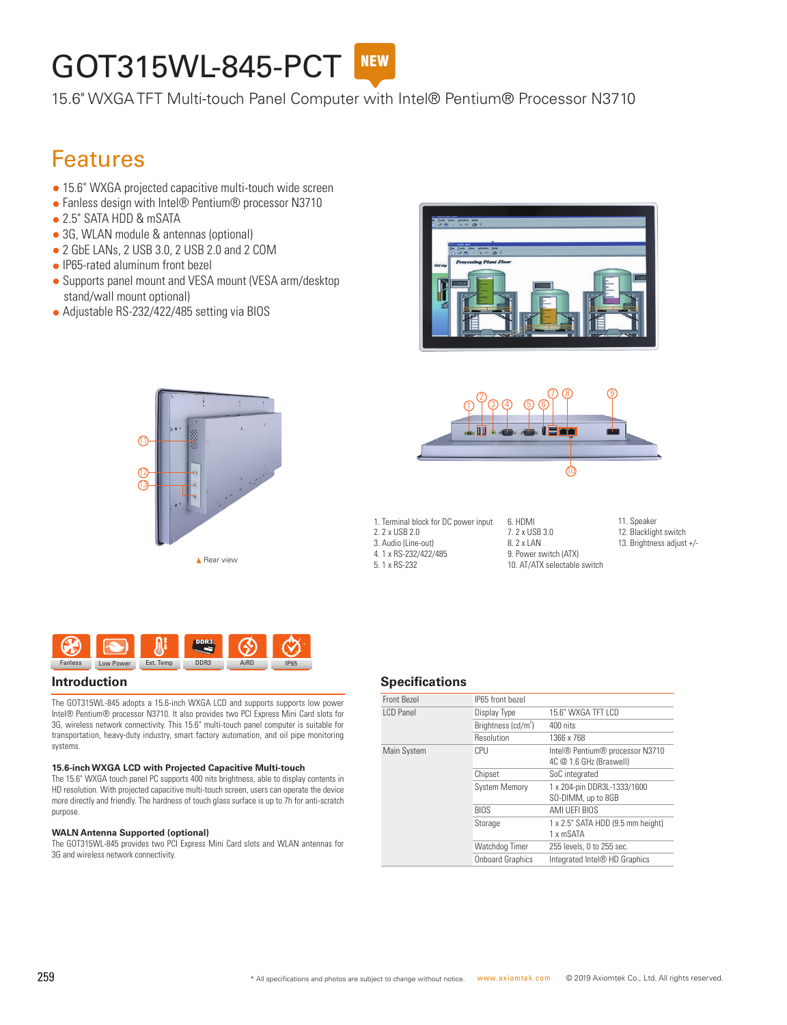# **GOT315WL-845-PCT**

15.6" WXGA TFT Multi-touch Panel Computer with Intel® Pentium® Processor N3710

## Features

- 15.6" WXGA projected capacitive multi-touch wide screen
- Fanless design with Intel® Pentium® processor N3710
- 2.5" SATA HDD & mSATA
- 3G, WLAN module & antennas (optional)
- 2 GbE LANs, 2 USB 3.0, 2 USB 2.0 and 2 COM
- IP65-rated aluminum front bezel
- Supports panel mount and VESA mount (VESA arm/desktop stand/wall mount optional)
- Adjustable RS-232/422/485 setting via BIOS







1. Terminal block for DC power input 2. 2 x USB 2.0 3. Audio (Line-out) 4. 1 x RS-232/422/485 5. 1 x RS-232

6. HDMI 7. 2 x USB 3.0 8. 2 x LAN 9. Power switch (ATX) 11. Speaker

12. Blacklight switch 13. Brightness adjust +/-



The GOT315WL-845 adopts a 15.6-inch WXGA LCD and supports supports low power Intel® Pentium® processor N3710. It also provides two PCI Express Mini Card slots for 3G, wireless network connectivity. This 15.6" multi-touch panel computer is suitable for transportation, heavy-duty industry, smart factory automation, and oil pipe monitoring systems.

#### **15.6-inch WXGA LCD with Projected Capacitive Multi-touch**

The 15.6" WXGA touch panel PC supports 400 nits brightness, able to display contents in HD resolution. With projected capacitive multi-touch screen, users can operate the device more directly and friendly. The hardness of touch glass surface is up to 7h for anti-scratch purpose.

#### **WALN Antenna Supported (optional)**

The GOT315WL-845 provides two PCI Express Mini Card slots and WLAN antennas for 3G and wireless network connectivity.

#### **Introduction Specifications**

| Front Bezel      | IP65 front bezel        |                                                            |
|------------------|-------------------------|------------------------------------------------------------|
| <b>LCD Panel</b> | Display Type            | 15.6" WXGA TFT LCD                                         |
|                  | Brightness $(cd/m^2)$   | 400 nits                                                   |
|                  | Resolution              | 1366 x 768                                                 |
| Main System      | CPU                     | Intel® Pentium® processor N3710<br>4C @ 1.6 GHz (Braswell) |
|                  | Chipset                 | SoC integrated                                             |
|                  | <b>System Memory</b>    | 1 x 204-pin DDR3L-1333/1600<br>SO-DIMM, up to 8GB          |
|                  | <b>BIOS</b>             | AMI UEFI BIOS                                              |
|                  | Storage                 | 1 x 2.5" SATA HDD (9.5 mm height)<br>1 x mSATA             |
|                  | Watchdog Timer          | 255 levels, 0 to 255 sec.                                  |
|                  | <b>Onboard Graphics</b> | Integrated Intel <sup>®</sup> HD Graphics                  |